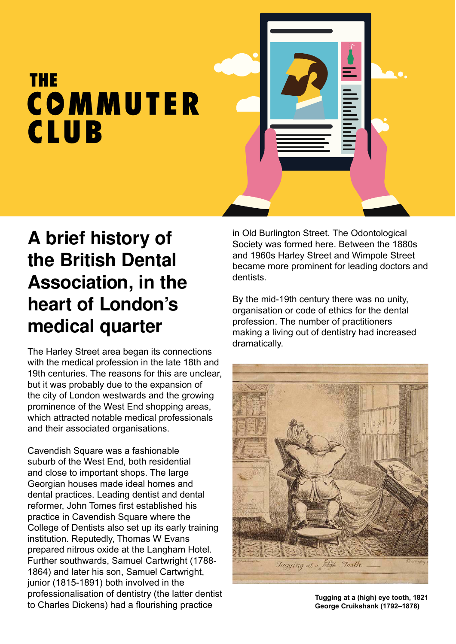## **THE** COMMUTER **CLUB**



## **A brief history of the British Dental Association, in the heart of London's medical quarter**

The Harley Street area began its connections with the medical profession in the late 18th and 19th centuries. The reasons for this are unclear. but it was probably due to the expansion of the city of London westwards and the growing prominence of the West End shopping areas, which attracted notable medical professionals and their associated organisations.

Cavendish Square was a fashionable suburb of the West End, both residential and close to important shops. The large Georgian houses made ideal homes and dental practices. Leading dentist and dental reformer, John Tomes first established his practice in Cavendish Square where the College of Dentists also set up its early training institution. Reputedly, Thomas W Evans prepared nitrous oxide at the Langham Hotel. Further southwards, Samuel Cartwright (1788- 1864) and later his son, Samuel Cartwright, junior (1815-1891) both involved in the professionalisation of dentistry (the latter dentist to Charles Dickens) had a flourishing practice

in Old Burlington Street. The Odontological Society was formed here. Between the 1880s and 1960s Harley Street and Wimpole Street became more prominent for leading doctors and dentists.

By the mid-19th century there was no unity, organisation or code of ethics for the dental profession. The number of practitioners making a living out of dentistry had increased dramatically.



**Tugging at a (high) eye tooth, 1821 George Cruikshank (1792–1878)**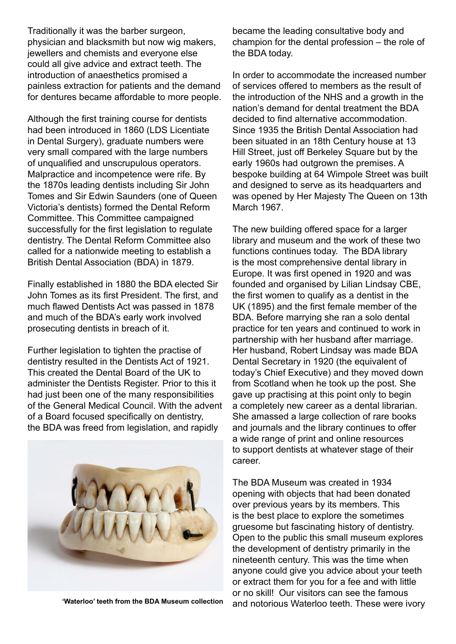Traditionally it was the barber surgeon, physician and blacksmith but now wig makers, jewellers and chemists and everyone else could all give advice and extract teeth. The introduction of anaesthetics promised a painless extraction for patients and the demand for dentures became affordable to more people.

Although the first training course for dentists had been introduced in 1860 (LDS Licentiate in Dental Surgery), graduate numbers were very small compared with the large numbers of unqualified and unscrupulous operators. Malpractice and incompetence were rife. By the 1870s leading dentists including Sir John Tomes and Sir Edwin Saunders (one of Queen Victoria's dentists) formed the Dental Reform Committee. This Committee campaigned successfully for the first legislation to regulate dentistry. The Dental Reform Committee also called for a nationwide meeting to establish a British Dental Association (BDA) in 1879.

Finally established in 1880 the BDA elected Sir John Tomes as its first President. The first, and much flawed Dentists Act was passed in 1878 and much of the BDA's early work involved prosecuting dentists in breach of it.

Further legislation to tighten the practise of dentistry resulted in the Dentists Act of 1921. This created the Dental Board of the UK to administer the Dentists Register. Prior to this it had just been one of the many responsibilities of the General Medical Council. With the advent of a Board focused specifically on dentistry, the BDA was freed from legislation, and rapidly



**'Waterloo' teeth from the BDA Museum collection**

became the leading consultative body and champion for the dental profession – the role of the BDA today.

In order to accommodate the increased number of services offered to members as the result of the introduction of the NHS and a growth in the nation's demand for dental treatment the BDA decided to find alternative accommodation. Since 1935 the British Dental Association had been situated in an 18th Century house at 13 Hill Street, just off Berkeley Square but by the early 1960s had outgrown the premises. A bespoke building at 64 Wimpole Street was built and designed to serve as its headquarters and was opened by Her Majesty The Queen on 13th March 1967.

The new building offered space for a larger library and museum and the work of these two functions continues today. The BDA library is the most comprehensive dental library in Europe. It was first opened in 1920 and was founded and organised by Lilian Lindsay CBE, the first women to qualify as a dentist in the UK (1895) and the first female member of the BDA. Before marrying she ran a solo dental practice for ten years and continued to work in partnership with her husband after marriage. Her husband, Robert Lindsay was made BDA Dental Secretary in 1920 (the equivalent of today's Chief Executive) and they moved down from Scotland when he took up the post. She gave up practising at this point only to begin a completely new career as a dental librarian. She amassed a large collection of rare books and journals and the library continues to offer a wide range of print and online resources to support dentists at whatever stage of their career.

The BDA Museum was created in 1934 opening with objects that had been donated over previous years by its members. This is the best place to explore the sometimes gruesome but fascinating history of dentistry. Open to the public this small museum explores the development of dentistry primarily in the nineteenth century. This was the time when anyone could give you advice about your teeth or extract them for you for a fee and with little or no skill! Our visitors can see the famous and notorious Waterloo teeth. These were ivory